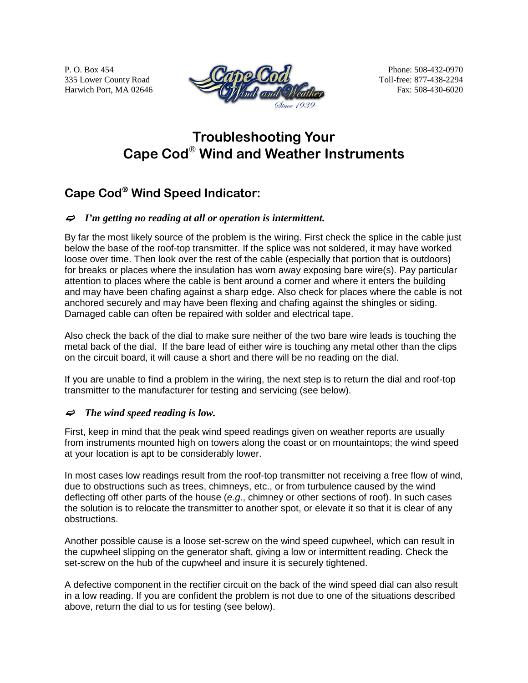P. O. Box 454 335 Lower County Road Harwich Port, MA 02646



Phone: 508-432-0970 Toll-free: 877-438-2294 Fax: 508-430-6020

# **Troubleshooting Your Cape Cod**® **Wind and Weather Instruments**

# **Cape Cod**® **Wind Speed Indicator:**

### $\Rightarrow$  *I'm getting no reading at all or operation is intermittent.*

By far the most likely source of the problem is the wiring. First check the splice in the cable just below the base of the roof-top transmitter. If the splice was not soldered, it may have worked loose over time. Then look over the rest of the cable (especially that portion that is outdoors) for breaks or places where the insulation has worn away exposing bare wire(s). Pay particular attention to places where the cable is bent around a corner and where it enters the building and may have been chafing against a sharp edge. Also check for places where the cable is not anchored securely and may have been flexing and chafing against the shingles or siding. Damaged cable can often be repaired with solder and electrical tape.

Also check the back of the dial to make sure neither of the two bare wire leads is touching the metal back of the dial. If the bare lead of either wire is touching any metal other than the clips on the circuit board, it will cause a short and there will be no reading on the dial.

If you are unable to find a problem in the wiring, the next step is to return the dial and roof-top transmitter to the manufacturer for testing and servicing (see below).

### $\Rightarrow$  The wind speed reading is low.

First, keep in mind that the peak wind speed readings given on weather reports are usually from instruments mounted high on towers along the coast or on mountaintops; the wind speed at your location is apt to be considerably lower.

In most cases low readings result from the roof-top transmitter not receiving a free flow of wind, due to obstructions such as trees, chimneys, etc., or from turbulence caused by the wind deflecting off other parts of the house (*e.g*., chimney or other sections of roof). In such cases the solution is to relocate the transmitter to another spot, or elevate it so that it is clear of any obstructions.

Another possible cause is a loose set-screw on the wind speed cupwheel, which can result in the cupwheel slipping on the generator shaft, giving a low or intermittent reading. Check the set-screw on the hub of the cupwheel and insure it is securely tightened.

A defective component in the rectifier circuit on the back of the wind speed dial can also result in a low reading. If you are confident the problem is not due to one of the situations described above, return the dial to us for testing (see below).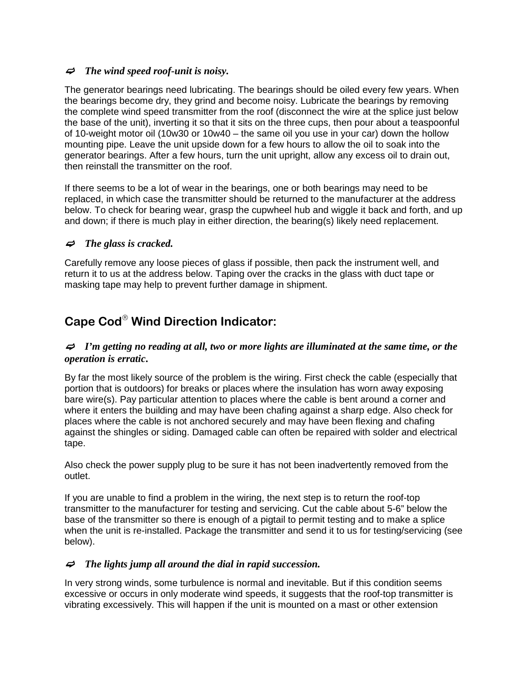#### $\Rightarrow$  The wind speed roof-unit is noisy.

The generator bearings need lubricating. The bearings should be oiled every few years. When the bearings become dry, they grind and become noisy. Lubricate the bearings by removing the complete wind speed transmitter from the roof (disconnect the wire at the splice just below the base of the unit), inverting it so that it sits on the three cups, then pour about a teaspoonful of 10-weight motor oil (10w30 or 10w40 – the same oil you use in your car) down the hollow mounting pipe. Leave the unit upside down for a few hours to allow the oil to soak into the generator bearings. After a few hours, turn the unit upright, allow any excess oil to drain out, then reinstall the transmitter on the roof.

If there seems to be a lot of wear in the bearings, one or both bearings may need to be replaced, in which case the transmitter should be returned to the manufacturer at the address below. To check for bearing wear, grasp the cupwheel hub and wiggle it back and forth, and up and down; if there is much play in either direction, the bearing(s) likely need replacement.

### $\Rightarrow$  The glass is cracked.

Carefully remove any loose pieces of glass if possible, then pack the instrument well, and return it to us at the address below. Taping over the cracks in the glass with duct tape or masking tape may help to prevent further damage in shipment.

# **Cape Cod**® **Wind Direction Indicator:**

#### $\Rightarrow$  I'm getting no reading at all, two or more lights are illuminated at the same time, or the *operation is erratic***.**

By far the most likely source of the problem is the wiring. First check the cable (especially that portion that is outdoors) for breaks or places where the insulation has worn away exposing bare wire(s). Pay particular attention to places where the cable is bent around a corner and where it enters the building and may have been chafing against a sharp edge. Also check for places where the cable is not anchored securely and may have been flexing and chafing against the shingles or siding. Damaged cable can often be repaired with solder and electrical tape.

Also check the power supply plug to be sure it has not been inadvertently removed from the outlet.

If you are unable to find a problem in the wiring, the next step is to return the roof-top transmitter to the manufacturer for testing and servicing. Cut the cable about 5-6" below the base of the transmitter so there is enough of a pigtail to permit testing and to make a splice when the unit is re-installed. Package the transmitter and send it to us for testing/servicing (see below).

#### $\Rightarrow$  The lights jump all around the dial in rapid succession.

In very strong winds, some turbulence is normal and inevitable. But if this condition seems excessive or occurs in only moderate wind speeds, it suggests that the roof-top transmitter is vibrating excessively. This will happen if the unit is mounted on a mast or other extension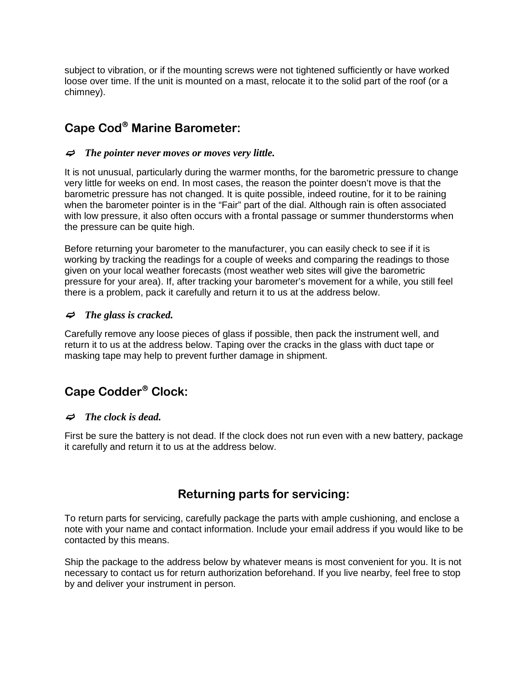subject to vibration, or if the mounting screws were not tightened sufficiently or have worked loose over time. If the unit is mounted on a mast, relocate it to the solid part of the roof (or a chimney).

## **Cape Cod**® **Marine Barometer:**

#### <sup>F</sup>*The pointer never moves or moves very little.*

It is not unusual, particularly during the warmer months, for the barometric pressure to change very little for weeks on end. In most cases, the reason the pointer doesn't move is that the barometric pressure has not changed. It is quite possible, indeed routine, for it to be raining when the barometer pointer is in the "Fair" part of the dial. Although rain is often associated with low pressure, it also often occurs with a frontal passage or summer thunderstorms when the pressure can be quite high.

Before returning your barometer to the manufacturer, you can easily check to see if it is working by tracking the readings for a couple of weeks and comparing the readings to those given on your local weather forecasts (most weather web sites will give the barometric pressure for your area). If, after tracking your barometer's movement for a while, you still feel there is a problem, pack it carefully and return it to us at the address below.

#### $\Rightarrow$  The glass is cracked.

Carefully remove any loose pieces of glass if possible, then pack the instrument well, and return it to us at the address below. Taping over the cracks in the glass with duct tape or masking tape may help to prevent further damage in shipment.

# **Cape Codder**® **Clock:**

#### $\Rightarrow$  The clock is dead.

First be sure the battery is not dead. If the clock does not run even with a new battery, package it carefully and return it to us at the address below.

### **Returning parts for servicing:**

To return parts for servicing, carefully package the parts with ample cushioning, and enclose a note with your name and contact information. Include your email address if you would like to be contacted by this means.

Ship the package to the address below by whatever means is most convenient for you. It is not necessary to contact us for return authorization beforehand. If you live nearby, feel free to stop by and deliver your instrument in person.